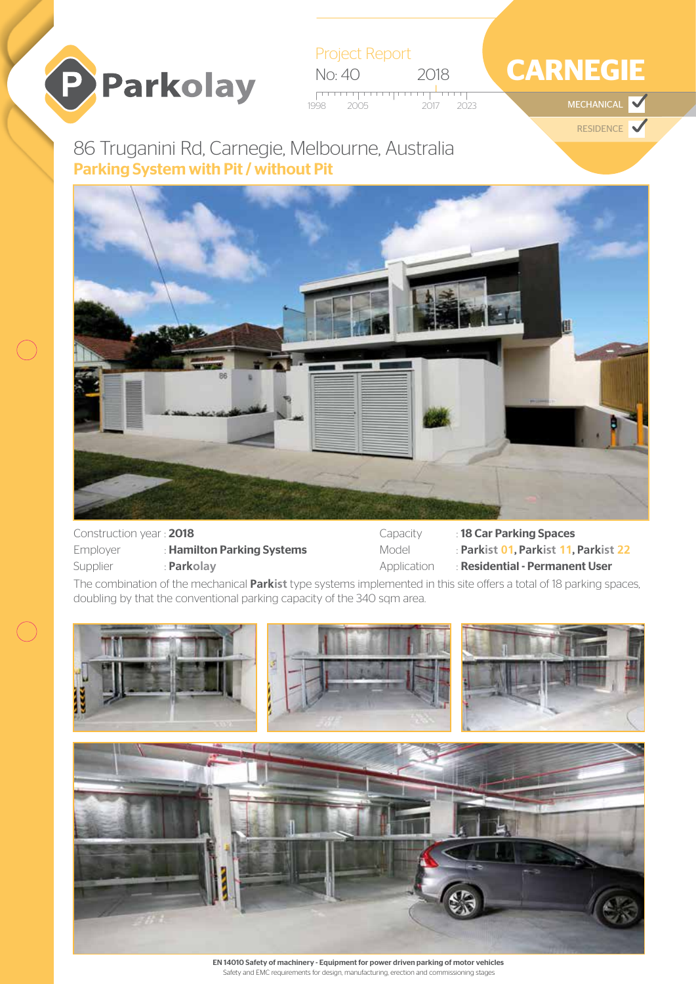

Project Report No: 40 2018 فتستبر تستنبى

1998 2005 2017 2023 **MECHANICAL** 

# **CARNEGIE**

RESIDENCE

## Parking System with Pit / without Pit 86 Truganini Rd, Carnegie, Melbourne, Australia



| Construction year: 2018 |                            |  |
|-------------------------|----------------------------|--|
| Employer                | : Hamilton Parking Systems |  |
| Supplier                | : Parkolay                 |  |

Capacity : 18 Car Parking Spaces Model : **Parkist 01**, **Parkist 11**, **Parkist 22** Application : Residential - Permanent User

The combination of the mechanical **Parkist** type systems implemented in this site offers a total of 18 parking spaces, doubling by that the conventional parking capacity of the 340 sqm area.



EN 14010 Safety of machinery - Equipment for power driven parking of motor vehicles Safety and EMC requirements for design, manufacturing, erection and commissioning stages